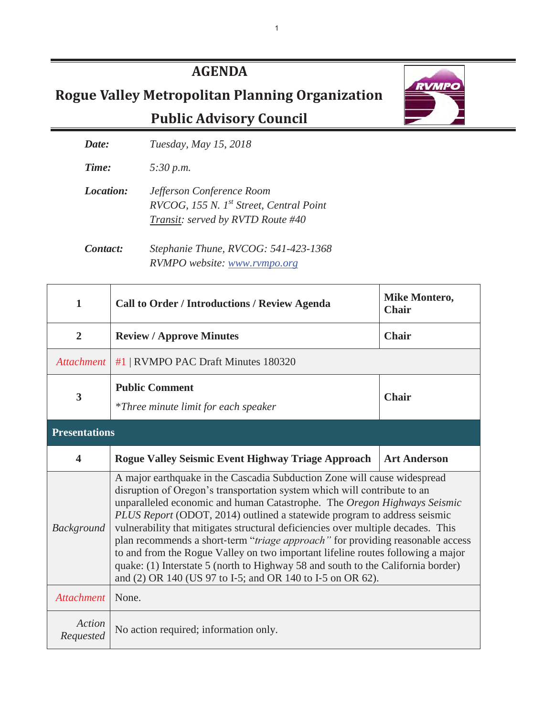## **AGENDA**

 **Rogue Valley Metropolitan Planning Organization** 

 **Public Advisory Council** 



*Date: Tuesday, May 15, 2018* 

*Time: 5:30 p.m.* 

*Location: Jefferson Conference Room RVCOG, 155 N. 1st Street, Central Point Transit: served by RVTD Route #40* 

*Contact: Stephanie Thune, RVCOG: 541-423-1368 RVMPO website: www.rvmpo.org*

| 1                       | <b>Call to Order / Introductions / Review Agenda</b>                                                                                                                                                                                                                                                                                                                                                                                                                                                                                                                                                                                                                                                                    | <b>Mike Montero,</b><br><b>Chair</b> |  |  |
|-------------------------|-------------------------------------------------------------------------------------------------------------------------------------------------------------------------------------------------------------------------------------------------------------------------------------------------------------------------------------------------------------------------------------------------------------------------------------------------------------------------------------------------------------------------------------------------------------------------------------------------------------------------------------------------------------------------------------------------------------------------|--------------------------------------|--|--|
| $\overline{2}$          | <b>Review / Approve Minutes</b>                                                                                                                                                                                                                                                                                                                                                                                                                                                                                                                                                                                                                                                                                         | <b>Chair</b>                         |  |  |
| <b>Attachment</b>       | #1   RVMPO PAC Draft Minutes 180320                                                                                                                                                                                                                                                                                                                                                                                                                                                                                                                                                                                                                                                                                     |                                      |  |  |
| $\overline{\mathbf{3}}$ | <b>Public Comment</b><br><i>*Three minute limit for each speaker</i>                                                                                                                                                                                                                                                                                                                                                                                                                                                                                                                                                                                                                                                    | <b>Chair</b>                         |  |  |
| <b>Presentations</b>    |                                                                                                                                                                                                                                                                                                                                                                                                                                                                                                                                                                                                                                                                                                                         |                                      |  |  |
| $\overline{\mathbf{4}}$ | <b>Rogue Valley Seismic Event Highway Triage Approach</b>                                                                                                                                                                                                                                                                                                                                                                                                                                                                                                                                                                                                                                                               | <b>Art Anderson</b>                  |  |  |
| <b>Background</b>       | A major earthquake in the Cascadia Subduction Zone will cause widespread<br>disruption of Oregon's transportation system which will contribute to an<br>unparalleled economic and human Catastrophe. The Oregon Highways Seismic<br>PLUS Report (ODOT, 2014) outlined a statewide program to address seismic<br>vulnerability that mitigates structural deficiencies over multiple decades. This<br>plan recommends a short-term "triage approach" for providing reasonable access<br>to and from the Rogue Valley on two important lifeline routes following a major<br>quake: (1) Interstate 5 (north to Highway 58 and south to the California border)<br>and (2) OR 140 (US 97 to I-5; and OR 140 to I-5 on OR 62). |                                      |  |  |
| <b>Attachment</b>       | None.                                                                                                                                                                                                                                                                                                                                                                                                                                                                                                                                                                                                                                                                                                                   |                                      |  |  |
| Action<br>Requested     | No action required; information only.                                                                                                                                                                                                                                                                                                                                                                                                                                                                                                                                                                                                                                                                                   |                                      |  |  |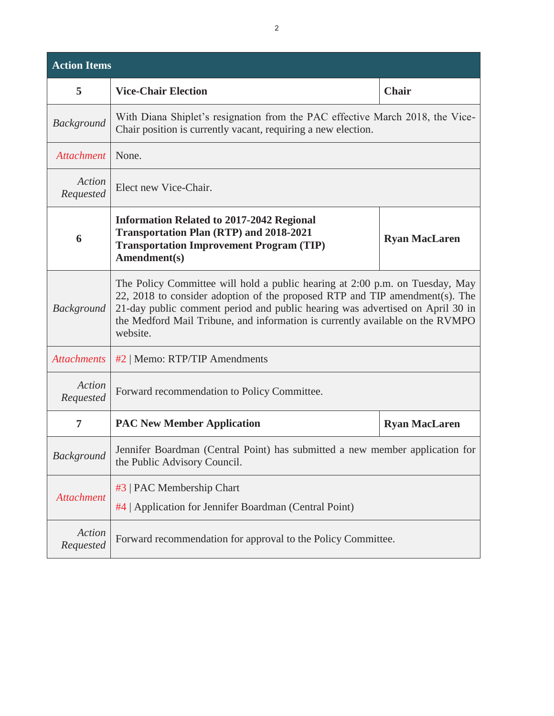| <b>Action Items</b> |                                                                                                                                                                                                                                                                                                                                           |                      |
|---------------------|-------------------------------------------------------------------------------------------------------------------------------------------------------------------------------------------------------------------------------------------------------------------------------------------------------------------------------------------|----------------------|
| 5                   | <b>Vice-Chair Election</b>                                                                                                                                                                                                                                                                                                                | <b>Chair</b>         |
| <b>Background</b>   | With Diana Shiplet's resignation from the PAC effective March 2018, the Vice-<br>Chair position is currently vacant, requiring a new election.                                                                                                                                                                                            |                      |
| <b>Attachment</b>   | None.                                                                                                                                                                                                                                                                                                                                     |                      |
| Action<br>Requested | Elect new Vice-Chair.                                                                                                                                                                                                                                                                                                                     |                      |
| 6                   | <b>Information Related to 2017-2042 Regional</b><br><b>Transportation Plan (RTP) and 2018-2021</b><br><b>Transportation Improvement Program (TIP)</b><br>Amendment(s)                                                                                                                                                                     | <b>Ryan MacLaren</b> |
| <b>Background</b>   | The Policy Committee will hold a public hearing at 2:00 p.m. on Tuesday, May<br>22, 2018 to consider adoption of the proposed RTP and TIP amendment(s). The<br>21-day public comment period and public hearing was advertised on April 30 in<br>the Medford Mail Tribune, and information is currently available on the RVMPO<br>website. |                      |
| <b>Attachments</b>  | #2   Memo: RTP/TIP Amendments                                                                                                                                                                                                                                                                                                             |                      |
| Action<br>Requested | Forward recommendation to Policy Committee.                                                                                                                                                                                                                                                                                               |                      |
| 7                   | <b>PAC New Member Application</b>                                                                                                                                                                                                                                                                                                         | <b>Ryan MacLaren</b> |
| <b>Background</b>   | Jennifer Boardman (Central Point) has submitted a new member application for<br>the Public Advisory Council.                                                                                                                                                                                                                              |                      |
| <b>Attachment</b>   | #3   PAC Membership Chart<br>#4   Application for Jennifer Boardman (Central Point)                                                                                                                                                                                                                                                       |                      |
| Action<br>Requested | Forward recommendation for approval to the Policy Committee.                                                                                                                                                                                                                                                                              |                      |

Ī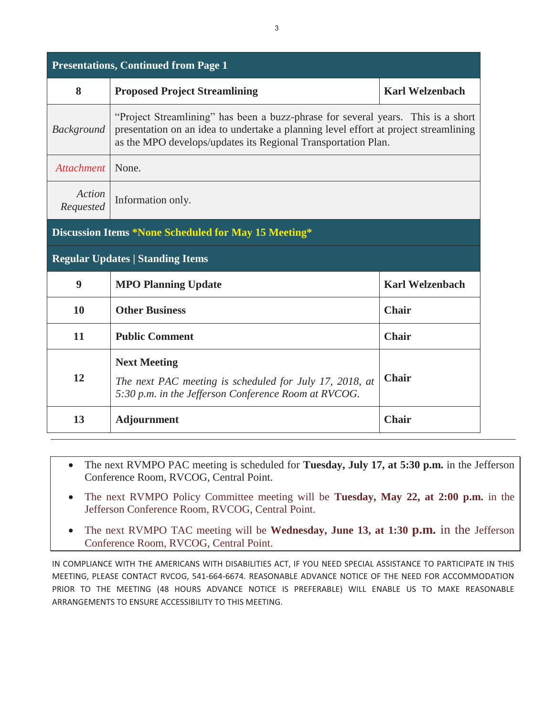|                     | <b>Presentations, Continued from Page 1</b>                                                                                                                                                                                               |                        |
|---------------------|-------------------------------------------------------------------------------------------------------------------------------------------------------------------------------------------------------------------------------------------|------------------------|
| 8                   | <b>Proposed Project Streamlining</b>                                                                                                                                                                                                      | <b>Karl Welzenbach</b> |
| <b>Background</b>   | "Project Streamlining" has been a buzz-phrase for several years. This is a short<br>presentation on an idea to undertake a planning level effort at project streamlining<br>as the MPO develops/updates its Regional Transportation Plan. |                        |
| Attachment          | None.                                                                                                                                                                                                                                     |                        |
| Action<br>Requested | Information only.                                                                                                                                                                                                                         |                        |
|                     | Discussion Items *None Scheduled for May 15 Meeting*                                                                                                                                                                                      |                        |
|                     | <b>Regular Updates   Standing Items</b>                                                                                                                                                                                                   |                        |
| 9                   | <b>MPO Planning Update</b>                                                                                                                                                                                                                | <b>Karl Welzenbach</b> |
| 10                  | <b>Other Business</b>                                                                                                                                                                                                                     | <b>Chair</b>           |
| 11                  | <b>Public Comment</b>                                                                                                                                                                                                                     | <b>Chair</b>           |
| 12                  | <b>Next Meeting</b><br>The next PAC meeting is scheduled for July 17, 2018, at<br>5:30 p.m. in the Jefferson Conference Room at RVCOG.                                                                                                    | <b>Chair</b>           |
| 13                  | <b>Adjournment</b>                                                                                                                                                                                                                        | <b>Chair</b>           |

- $\bullet$  The next RVMPO PAC meeting is scheduled for **Tuesday, July 17, at 5:30 p.m.** in the Jefferson Conference Room, RVCOG, Central Point.
- The next RVMPO Policy Committee meeting will be **Tuesday, May 22, at 2:00 p.m.** in the Jefferson Conference Room, RVCOG, Central Point.
- $\bullet$  The next RVMPO TAC meeting will be **Wednesday, June 13, at 1:30 p.m.** in the Jefferson Conference Room, RVCOG, Central Point.

IN COMPLIANCE WITH THE AMERICANS WITH DISABILITIES ACT, IF YOU NEED SPECIAL ASSISTANCE TO PARTICIPATE IN THIS MEETING, PLEASE CONTACT RVCOG, 541-664-6674. REASONABLE ADVANCE NOTICE OF THE NEED FOR ACCOMMODATION PRIOR TO THE MEETING (48 HOURS ADVANCE NOTICE IS PREFERABLE) WILL ENABLE US TO MAKE REASONABLE ARRANGEMENTS TO ENSURE ACCESSIBILITY TO THIS MEETING.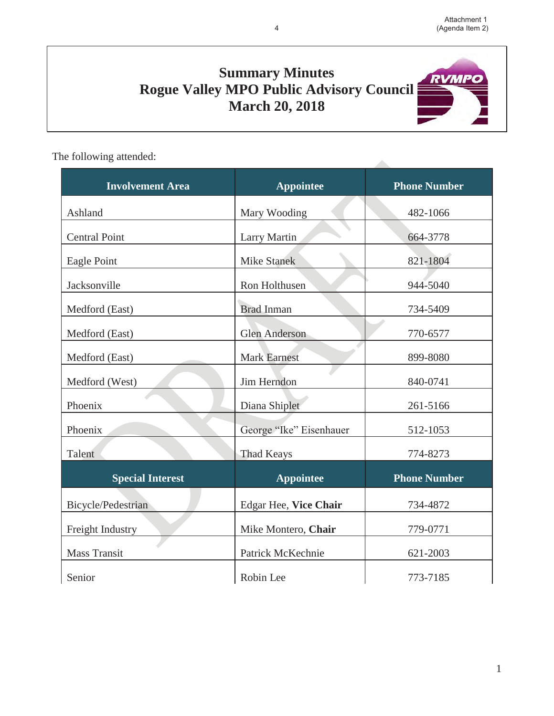**RVMPO** 

# **Summary Minutes Rogue Valley MPO Public Advisory Council March 20, 2018**

The following attended:

| ne fonowing auchucu.    |                         |                     |
|-------------------------|-------------------------|---------------------|
| <b>Involvement Area</b> | <b>Appointee</b>        | <b>Phone Number</b> |
| Ashland                 | Mary Wooding            | 482-1066            |
| <b>Central Point</b>    | <b>Larry Martin</b>     | 664-3778            |
| Eagle Point             | <b>Mike Stanek</b>      | 821-1804            |
| Jacksonville            | Ron Holthusen           | 944-5040            |
| Medford (East)          | <b>Brad Inman</b>       | 734-5409            |
| Medford (East)          | <b>Glen Anderson</b>    | 770-6577            |
| Medford (East)          | <b>Mark Earnest</b>     | 899-8080            |
| Medford (West)          | Jim Herndon             | 840-0741            |
| Phoenix                 | Diana Shiplet           | 261-5166            |
| Phoenix                 | George "Ike" Eisenhauer | 512-1053            |
| Talent                  | <b>Thad Keays</b>       | 774-8273            |
| <b>Special Interest</b> | <b>Appointee</b>        | <b>Phone Number</b> |
| Bicycle/Pedestrian      | Edgar Hee, Vice Chair   | 734-4872            |
| Freight Industry        | Mike Montero, Chair     | 779-0771            |
| <b>Mass Transit</b>     | Patrick McKechnie       | 621-2003            |
| Senior                  | Robin Lee               | 773-7185            |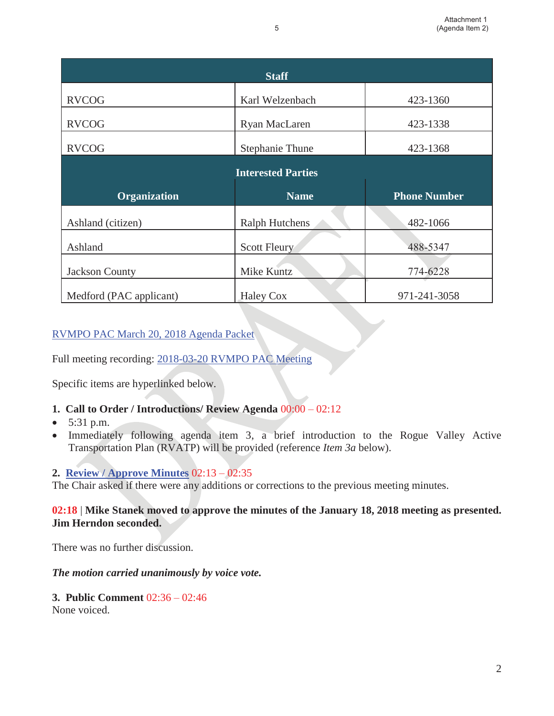| <b>Staff</b>          |                           |                     |  |  |
|-----------------------|---------------------------|---------------------|--|--|
| <b>RVCOG</b>          | Karl Welzenbach           | 423-1360            |  |  |
| <b>RVCOG</b>          | Ryan MacLaren             | 423-1338            |  |  |
| <b>RVCOG</b>          | <b>Stephanie Thune</b>    | 423-1368            |  |  |
|                       | <b>Interested Parties</b> |                     |  |  |
| <b>Organization</b>   | <b>Name</b>               | <b>Phone Number</b> |  |  |
|                       |                           |                     |  |  |
| Ashland (citizen)     | <b>Ralph Hutchens</b>     | 482-1066            |  |  |
| Ashland               | <b>Scott Fleury</b>       | 488-5347            |  |  |
| <b>Jackson County</b> | Mike Kuntz                | 774-6228            |  |  |

### RVMPO PAC March 20, 2018 Agenda Packet

Full meeting recording: 2018-03-20 RVMPO PAC Meeting

Specific items are hyperlinked below.

- **1. Call to Order / Introductions/ Review Agenda** 00:00 02:12
- 5:31 p.m.
- Immediately following agenda item 3, a brief introduction to the Rogue Valley Active Transportation Plan (RVATP) will be provided (reference *Item 3a* below).

### **2. Review / Approve Minutes** 02:13 – 02:35

The Chair asked if there were any additions or corrections to the previous meeting minutes.

### **02:18** | **Mike Stanek moved to approve the minutes of the January 18, 2018 meeting as presented. Jim Herndon seconded.**

There was no further discussion.

*The motion carried unanimously by voice vote.*

#### **3. Public Comment** 02:36 – 02:46 None voiced.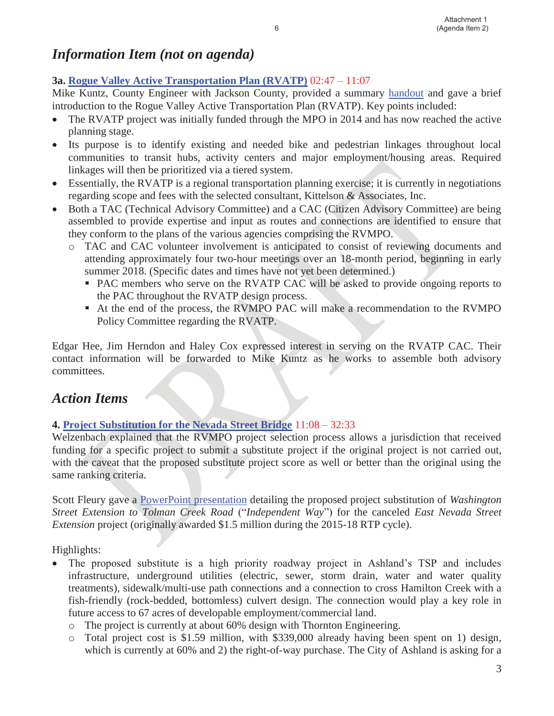# *Information Item (not on agenda)*

### **3a. Rogue Valley Active Transportation Plan (RVATP)** 02:47 – 11:07

Mike Kuntz, County Engineer with Jackson County, provided a summary handout and gave a brief introduction to the Rogue Valley Active Transportation Plan (RVATP). Key points included:

- The RVATP project was initially funded through the MPO in 2014 and has now reached the active planning stage.
- Its purpose is to identify existing and needed bike and pedestrian linkages throughout local communities to transit hubs, activity centers and major employment/housing areas. Required linkages will then be prioritized via a tiered system.
- Essentially, the RVATP is a regional transportation planning exercise; it is currently in negotiations regarding scope and fees with the selected consultant, Kittelson & Associates, Inc.
- Both a TAC (Technical Advisory Committee) and a CAC (Citizen Advisory Committee) are being assembled to provide expertise and input as routes and connections are identified to ensure that they conform to the plans of the various agencies comprising the RVMPO.
	- o TAC and CAC volunteer involvement is anticipated to consist of reviewing documents and attending approximately four two-hour meetings over an 18-month period, beginning in early summer 2018. (Specific dates and times have not yet been determined.)
		- PAC members who serve on the RVATP CAC will be asked to provide ongoing reports to the PAC throughout the RVATP design process.
		- At the end of the process, the RVMPO PAC will make a recommendation to the RVMPO Policy Committee regarding the RVATP.

Edgar Hee, Jim Herndon and Haley Cox expressed interest in serving on the RVATP CAC. Their contact information will be forwarded to Mike Kuntz as he works to assemble both advisory committees.

## *Action Items*

### **4. Project Substitution for the Nevada Street Bridge** 11:08 – 32:33

Welzenbach explained that the RVMPO project selection process allows a jurisdiction that received funding for a specific project to submit a substitute project if the original project is not carried out, with the caveat that the proposed substitute project score as well or better than the original using the same ranking criteria.

Scott Fleury gave a PowerPoint presentation detailing the proposed project substitution of *Washington Street Extension to Tolman Creek Road* ("*Independent Way*") for the canceled *East Nevada Street Extension* project (originally awarded \$1.5 million during the 2015-18 RTP cycle).

Highlights:

- The proposed substitute is a high priority roadway project in Ashland's TSP and includes infrastructure, underground utilities (electric, sewer, storm drain, water and water quality treatments), sidewalk/multi-use path connections and a connection to cross Hamilton Creek with a fish-friendly (rock-bedded, bottomless) culvert design. The connection would play a key role in future access to 67 acres of developable employment/commercial land.
	- o The project is currently at about 60% design with Thornton Engineering.
	- o Total project cost is \$1.59 million, with \$339,000 already having been spent on 1) design, which is currently at 60% and 2) the right-of-way purchase. The City of Ashland is asking for a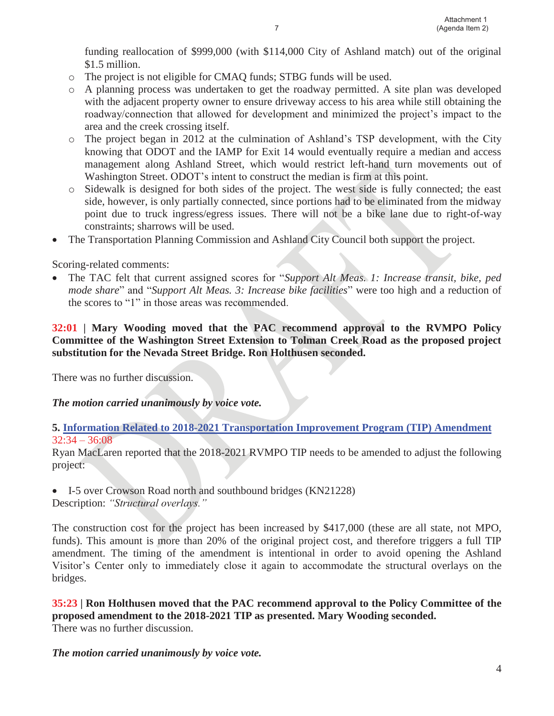funding reallocation of \$999,000 (with \$114,000 City of Ashland match) out of the original \$1.5 million.

- o The project is not eligible for CMAQ funds; STBG funds will be used.
- o A planning process was undertaken to get the roadway permitted. A site plan was developed with the adjacent property owner to ensure driveway access to his area while still obtaining the roadway/connection that allowed for development and minimized the project's impact to the area and the creek crossing itself.
- o The project began in 2012 at the culmination of Ashland's TSP development, with the City knowing that ODOT and the IAMP for Exit 14 would eventually require a median and access management along Ashland Street, which would restrict left-hand turn movements out of Washington Street. ODOT's intent to construct the median is firm at this point.
- o Sidewalk is designed for both sides of the project. The west side is fully connected; the east side, however, is only partially connected, since portions had to be eliminated from the midway point due to truck ingress/egress issues. There will not be a bike lane due to right-of-way constraints; sharrows will be used.
- The Transportation Planning Commission and Ashland City Council both support the project.

Scoring-related comments:

- The TAC felt that current assigned scores for "*Support Alt Meas. 1: Increase transit, bike, ped mode share*" and "*Support Alt Meas. 3: Increase bike facilities*" were too high and a reduction of the scores to "1" in those areas was recommended.

### **32:01 | Mary Wooding moved that the PAC recommend approval to the RVMPO Policy Committee of the Washington Street Extension to Tolman Creek Road as the proposed project substitution for the Nevada Street Bridge. Ron Holthusen seconded.**

There was no further discussion.

*The motion carried unanimously by voice vote.*

### **5. Information Related to 2018-2021 Transportation Improvement Program (TIP) Amendment**  $32:34 - 36:08$

Ryan MacLaren reported that the 2018-2021 RVMPO TIP needs to be amended to adjust the following project:

• I-5 over Crowson Road north and southbound bridges (KN21228)

Description: *"Structural overlays."*

The construction cost for the project has been increased by \$417,000 (these are all state, not MPO, funds). This amount is more than 20% of the original project cost, and therefore triggers a full TIP amendment. The timing of the amendment is intentional in order to avoid opening the Ashland Visitor's Center only to immediately close it again to accommodate the structural overlays on the bridges.

**35:23 | Ron Holthusen moved that the PAC recommend approval to the Policy Committee of the proposed amendment to the 2018-2021 TIP as presented. Mary Wooding seconded.**  There was no further discussion.

#### *The motion carried unanimously by voice vote.*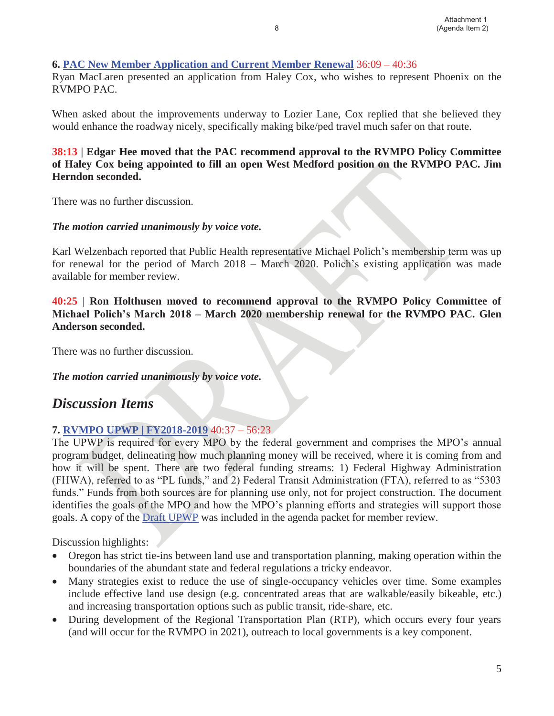### **6. PAC New Member Application and Current Member Renewal** 36:09 – 40:36

Ryan MacLaren presented an application from Haley Cox, who wishes to represent Phoenix on the RVMPO PAC.

When asked about the improvements underway to Lozier Lane, Cox replied that she believed they would enhance the roadway nicely, specifically making bike/ped travel much safer on that route.

### **38:13 | Edgar Hee moved that the PAC recommend approval to the RVMPO Policy Committee of Haley Cox being appointed to fill an open West Medford position on the RVMPO PAC. Jim Herndon seconded.**

There was no further discussion.

### *The motion carried unanimously by voice vote.*

Karl Welzenbach reported that Public Health representative Michael Polich's membership term was up for renewal for the period of March 2018 – March 2020. Polich's existing application was made available for member review.

**40:25** | **Ron Holthusen moved to recommend approval to the RVMPO Policy Committee of Michael Polich's March 2018 – March 2020 membership renewal for the RVMPO PAC. Glen Anderson seconded.** 

There was no further discussion.

### *The motion carried unanimously by voice vote.*

### *Discussion Items*

### **7. RVMPO UPWP | FY2018-2019** 40:37 – 56:23

The UPWP is required for every MPO by the federal government and comprises the MPO's annual program budget, delineating how much planning money will be received, where it is coming from and how it will be spent. There are two federal funding streams: 1) Federal Highway Administration (FHWA), referred to as "PL funds," and 2) Federal Transit Administration (FTA), referred to as "5303 funds." Funds from both sources are for planning use only, not for project construction. The document identifies the goals of the MPO and how the MPO's planning efforts and strategies will support those goals. A copy of the Draft UPWP was included in the agenda packet for member review.

Discussion highlights:

- Oregon has strict tie-ins between land use and transportation planning, making operation within the boundaries of the abundant state and federal regulations a tricky endeavor.
- Many strategies exist to reduce the use of single-occupancy vehicles over time. Some examples include effective land use design (e.g. concentrated areas that are walkable/easily bikeable, etc.) and increasing transportation options such as public transit, ride-share, etc.
- During development of the Regional Transportation Plan (RTP), which occurs every four years (and will occur for the RVMPO in 2021), outreach to local governments is a key component.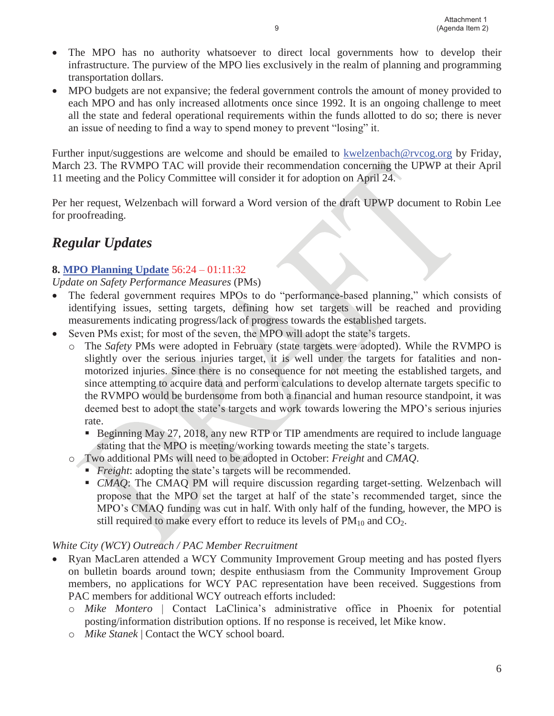- $\bullet$  The MPO has no authority whatsoever to direct local governments how to develop their infrastructure. The purview of the MPO lies exclusively in the realm of planning and programming transportation dollars.
- MPO budgets are not expansive; the federal government controls the amount of money provided to each MPO and has only increased allotments once since 1992. It is an ongoing challenge to meet all the state and federal operational requirements within the funds allotted to do so; there is never an issue of needing to find a way to spend money to prevent "losing" it.

Further input/suggestions are welcome and should be emailed to kwelzenbach@rvcog.org by Friday, March 23. The RVMPO TAC will provide their recommendation concerning the UPWP at their April 11 meeting and the Policy Committee will consider it for adoption on April 24.

Per her request, Welzenbach will forward a Word version of the draft UPWP document to Robin Lee for proofreading.

## *Regular Updates*

### **8. MPO Planning Update** 56:24 – 01:11:32

*Update on Safety Performance Measures* (PMs)

- The federal government requires MPOs to do "performance-based planning," which consists of identifying issues, setting targets, defining how set targets will be reached and providing measurements indicating progress/lack of progress towards the established targets.
- Seven PMs exist; for most of the seven, the MPO will adopt the state's targets.
	- o The *Safety* PMs were adopted in February (state targets were adopted). While the RVMPO is slightly over the serious injuries target, it is well under the targets for fatalities and nonmotorized injuries. Since there is no consequence for not meeting the established targets, and since attempting to acquire data and perform calculations to develop alternate targets specific to the RVMPO would be burdensome from both a financial and human resource standpoint, it was deemed best to adopt the state's targets and work towards lowering the MPO's serious injuries rate.
		- **Beginning May 27, 2018, any new RTP or TIP amendments are required to include language** stating that the MPO is meeting/working towards meeting the state's targets.
	- o Two additional PMs will need to be adopted in October: *Freight* and *CMAQ*.
		- **Fively**: adopting the state's targets will be recommended.
		- **CMAQ:** The CMAQ PM will require discussion regarding target-setting. Welzenbach will propose that the MPO set the target at half of the state's recommended target, since the MPO's CMAQ funding was cut in half. With only half of the funding, however, the MPO is still required to make every effort to reduce its levels of  $PM_{10}$  and  $CO_2$ .

#### *White City (WCY) Outreach / PAC Member Recruitment*

- Ryan MacLaren attended a WCY Community Improvement Group meeting and has posted flyers on bulletin boards around town; despite enthusiasm from the Community Improvement Group members, no applications for WCY PAC representation have been received. Suggestions from PAC members for additional WCY outreach efforts included:
	- o *Mike Montero* | Contact LaClinica's administrative office in Phoenix for potential posting/information distribution options. If no response is received, let Mike know.
	- o *Mike Stanek* | Contact the WCY school board.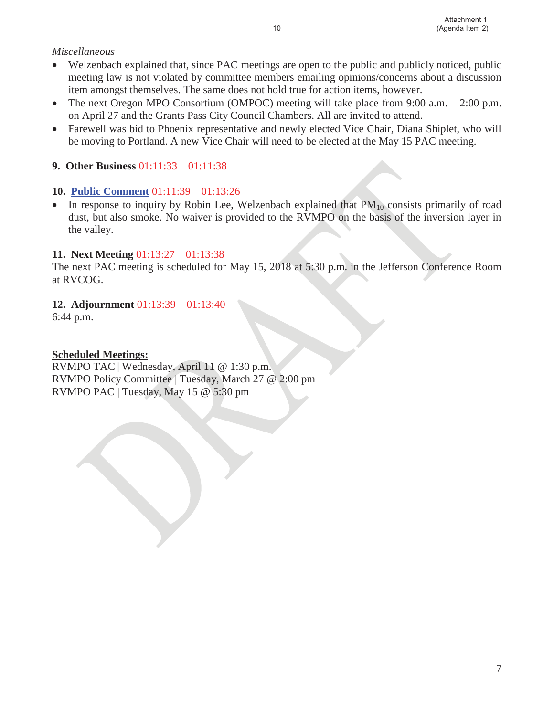### *Miscellaneous*

- Welzenbach explained that, since PAC meetings are open to the public and publicly noticed, public meeting law is not violated by committee members emailing opinions/concerns about a discussion item amongst themselves. The same does not hold true for action items, however.
- The next Oregon MPO Consortium (OMPOC) meeting will take place from 9:00 a.m. 2:00 p.m. on April 27 and the Grants Pass City Council Chambers. All are invited to attend.
- Farewell was bid to Phoenix representative and newly elected Vice Chair, Diana Shiplet, who will be moving to Portland. A new Vice Chair will need to be elected at the May 15 PAC meeting.

### **9. Other Business** 01:11:33 – 01:11:38

### **10. Public Comment** 01:11:39 – 01:13:26

• In response to inquiry by Robin Lee, Welzenbach explained that PM<sub>10</sub> consists primarily of road dust, but also smoke. No waiver is provided to the RVMPO on the basis of the inversion layer in the valley.

### **11. Next Meeting** 01:13:27 – 01:13:38

The next PAC meeting is scheduled for May 15, 2018 at 5:30 p.m. in the Jefferson Conference Room at RVCOG.

### **12. Adjournment** 01:13:39 – 01:13:40

6:44 p.m.

### **Scheduled Meetings:**

RVMPO TAC | Wednesday, April 11 @ 1:30 p.m. RVMPO Policy Committee | Tuesday, March 27 @ 2:00 pm RVMPO PAC | Tuesday, May 15 @ 5:30 pm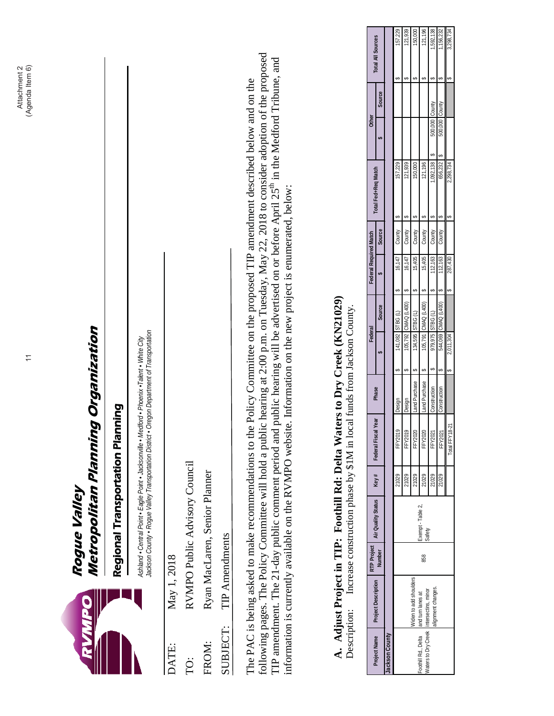|                                |                                                                                                                                                                                             |                       |                               |                |                                                                                                                                                                                               |                              | $\overline{\mathcal{L}}$ |                                              |                               |                  |                                                                                                                                                                                                                                                                                                                                                                                                                                         |                                              | (Agenda Item 6)<br>Attachment 2 |                                   |
|--------------------------------|---------------------------------------------------------------------------------------------------------------------------------------------------------------------------------------------|-----------------------|-------------------------------|----------------|-----------------------------------------------------------------------------------------------------------------------------------------------------------------------------------------------|------------------------------|--------------------------|----------------------------------------------|-------------------------------|------------------|-----------------------------------------------------------------------------------------------------------------------------------------------------------------------------------------------------------------------------------------------------------------------------------------------------------------------------------------------------------------------------------------------------------------------------------------|----------------------------------------------|---------------------------------|-----------------------------------|
|                                |                                                                                                                                                                                             |                       | Rogue Valley                  |                | Metropolitan Planning Organization                                                                                                                                                            |                              |                          |                                              |                               |                  |                                                                                                                                                                                                                                                                                                                                                                                                                                         |                                              |                                 |                                   |
|                                |                                                                                                                                                                                             |                       |                               |                | Regional Transportation Planning                                                                                                                                                              |                              |                          |                                              |                               |                  |                                                                                                                                                                                                                                                                                                                                                                                                                                         |                                              |                                 |                                   |
|                                |                                                                                                                                                                                             |                       |                               |                | Jackson County . Rogue Valley Transportation District . Oregon Department of Transportation<br>Ashland • Central Point • Eagle Point • Jacksonville • Medford • Phoenix • Talent • White City |                              |                          |                                              |                               |                  |                                                                                                                                                                                                                                                                                                                                                                                                                                         |                                              |                                 |                                   |
| DATE:                          | May 1, 2018                                                                                                                                                                                 |                       |                               |                |                                                                                                                                                                                               |                              |                          |                                              |                               |                  |                                                                                                                                                                                                                                                                                                                                                                                                                                         |                                              |                                 |                                   |
| Ċ                              |                                                                                                                                                                                             |                       | RVMPO Public Advisory Council |                |                                                                                                                                                                                               |                              |                          |                                              |                               |                  |                                                                                                                                                                                                                                                                                                                                                                                                                                         |                                              |                                 |                                   |
| FROM:                          |                                                                                                                                                                                             |                       | Ryan MacLaren, Senior Planner |                |                                                                                                                                                                                               |                              |                          |                                              |                               |                  |                                                                                                                                                                                                                                                                                                                                                                                                                                         |                                              |                                 |                                   |
| SUBJECT:                       |                                                                                                                                                                                             | <b>TIP</b> Amendments |                               |                |                                                                                                                                                                                               |                              |                          |                                              |                               |                  |                                                                                                                                                                                                                                                                                                                                                                                                                                         |                                              |                                 |                                   |
| Description:                   | information is currently available on the RVMPO website. Information on the new project is enumerated, below:<br>A. Adjust Project in TIP: Foothill Rd: Delta Waters to Dry Creek (KN21029) |                       |                               |                | Increase construction phase by \$1M in local funds from Jackson County.                                                                                                                       |                              |                          |                                              |                               |                  | following pages. The Policy Committee will hold a public hearing at 2:00 p.m. on Tuesday, May 22, 2018 to consider adoption of the proposed<br>TIP amendment. The 21-day public comment period and public hearing will be advertised on or before April 25 <sup>th</sup> in the Medford Tribune, and<br>The PAC is being asked to make recommendations to the Policy Committee on the proposed TIP amendment described below and on the |                                              |                                 |                                   |
|                                |                                                                                                                                                                                             | <b>RTP Project</b>    |                               |                |                                                                                                                                                                                               |                              |                          | Federal                                      | <b>Federal Required Match</b> |                  |                                                                                                                                                                                                                                                                                                                                                                                                                                         | <b>Other</b>                                 |                                 |                                   |
| Jackson County<br>Project Name | Project Description                                                                                                                                                                         | Number                | Air Quality Status            | Key#           | Year<br>Federal Fiscal                                                                                                                                                                        | Phase                        |                          | Source                                       |                               | Source           | Total Fed+Req Match                                                                                                                                                                                                                                                                                                                                                                                                                     |                                              | <b>Source</b>                   | Total All Sources                 |
|                                |                                                                                                                                                                                             |                       |                               | 21029          | FFY2019                                                                                                                                                                                       | Design                       |                          | STBG(L)<br>141,082                           | 16,147<br>6                   | County           | 157,229<br>↮                                                                                                                                                                                                                                                                                                                                                                                                                            |                                              |                                 | 157,229<br>↮                      |
|                                |                                                                                                                                                                                             |                       |                               | 21029          | FFY2019                                                                                                                                                                                       | Design                       |                          | CMAQ (L400)<br>105,792                       | 16,147<br>↮                   | County           | 121,939                                                                                                                                                                                                                                                                                                                                                                                                                                 |                                              |                                 | 121,939<br>↮                      |
| Foothill Rd., Delta            | Widen to add shoulders<br>and turn lanes at                                                                                                                                                 |                       |                               | 21029          | FFY2020                                                                                                                                                                                       | and Purchase                 |                          | STBG(L)<br>134,595                           | 15,405                        | County           | 150,000<br>မာ                                                                                                                                                                                                                                                                                                                                                                                                                           |                                              |                                 | 150,000<br>↮                      |
| Waters to Dry Creek            | intersectins, minor                                                                                                                                                                         | 858                   | Exempt - Table 2,<br>Safety   | 21029          | FFY2020<br><b>FFY2021</b>                                                                                                                                                                     | Land Purchase                | ഗ                        | CMAQ (L400)<br>105,791                       | 15,405<br>မာ                  | County           | 121,196<br>မာ                                                                                                                                                                                                                                                                                                                                                                                                                           |                                              |                                 | 121,196<br>မာ                     |
|                                | alignment changes.                                                                                                                                                                          |                       |                               | 21029<br>21029 | FFY2021                                                                                                                                                                                       | Construction<br>Construction |                          | CMAQ (L400)<br>STBG(L)<br>979,975<br>544,069 | 112,163<br>112,163<br>မာ      | County<br>County | 1,092,138<br>656,232<br>မာ<br>မာ                                                                                                                                                                                                                                                                                                                                                                                                        | Aunoc) 000'009<br>Aunoc) 000'009<br>မာ<br>မာ | County                          | 1,592,138<br>1,156,232<br>↮<br>မာ |
|                                |                                                                                                                                                                                             |                       |                               |                | Total FFY18-21                                                                                                                                                                                |                              | 2,011,304                |                                              | 287,430                       |                  | 2,298,734                                                                                                                                                                                                                                                                                                                                                                                                                               |                                              |                                 | 3,298,734                         |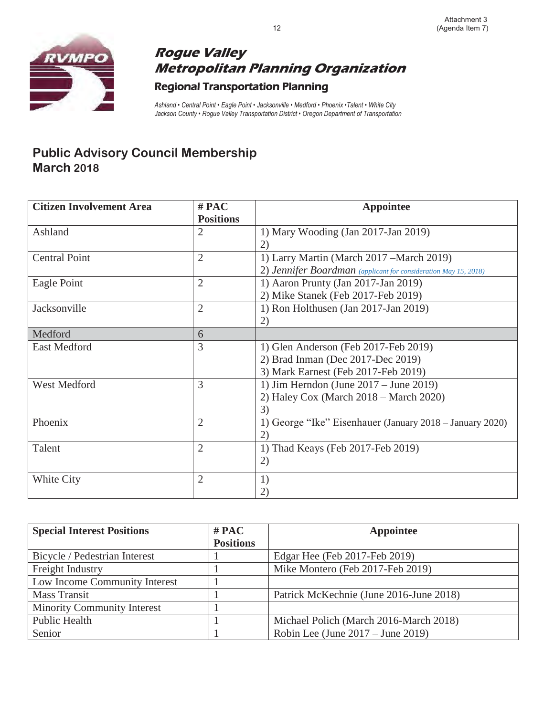

# **Rogue Valley Metropolitan Planning Organization**  Regional Transportation Planning

*Ashland • Central Point • Eagle Point • Jacksonville • Medford • Phoenix •Talent • White City Jackson County • Rogue Valley Transportation District • Oregon Department of Transportation*

## **Public Advisory Council Membership March 2018**

| <b>Citizen Involvement Area</b> | $#$ PAC          | <b>Appointee</b>                                                |
|---------------------------------|------------------|-----------------------------------------------------------------|
|                                 | <b>Positions</b> |                                                                 |
| Ashland                         | $\overline{2}$   | 1) Mary Wooding (Jan 2017-Jan 2019)                             |
|                                 |                  |                                                                 |
| <b>Central Point</b>            | $\overline{2}$   | 1) Larry Martin (March 2017 – March 2019)                       |
|                                 |                  | 2) Jennifer Boardman (applicant for consideration May 15, 2018) |
| Eagle Point                     | $\overline{2}$   | 1) Aaron Prunty (Jan 2017-Jan 2019)                             |
|                                 |                  | 2) Mike Stanek (Feb 2017-Feb 2019)                              |
| Jacksonville                    | $\overline{2}$   | 1) Ron Holthusen (Jan 2017-Jan 2019)                            |
|                                 |                  | 2)                                                              |
| Medford                         | 6                |                                                                 |
| <b>East Medford</b>             | 3                | 1) Glen Anderson (Feb 2017-Feb 2019)                            |
|                                 |                  | 2) Brad Inman (Dec 2017-Dec 2019)                               |
|                                 |                  | 3) Mark Earnest (Feb 2017-Feb 2019)                             |
| West Medford                    | 3                | 1) Jim Herndon (June $2017 -$ June $2019$ )                     |
|                                 |                  | 2) Haley Cox (March $2018$ – March $2020$ )                     |
|                                 |                  | 3)                                                              |
| Phoenix                         | $\overline{2}$   | 1) George "Ike" Eisenhauer (January 2018 – January 2020)        |
|                                 |                  | 2)                                                              |
| Talent                          | $\overline{2}$   | 1) Thad Keays (Feb 2017-Feb 2019)                               |
|                                 |                  | 2)                                                              |
| White City                      | $\overline{2}$   | 1)                                                              |
|                                 |                  | 2)                                                              |

| <b>Special Interest Positions</b>  | $#$ PAC          | Appointee                               |
|------------------------------------|------------------|-----------------------------------------|
|                                    | <b>Positions</b> |                                         |
| Bicycle / Pedestrian Interest      |                  | Edgar Hee (Feb 2017-Feb 2019)           |
| Freight Industry                   |                  | Mike Montero (Feb 2017-Feb 2019)        |
| Low Income Community Interest      |                  |                                         |
| <b>Mass Transit</b>                |                  | Patrick McKechnie (June 2016-June 2018) |
| <b>Minority Community Interest</b> |                  |                                         |
| Public Health                      |                  | Michael Polich (March 2016-March 2018)  |
| Senior                             |                  | Robin Lee (June $2017 -$ June $2019$ )  |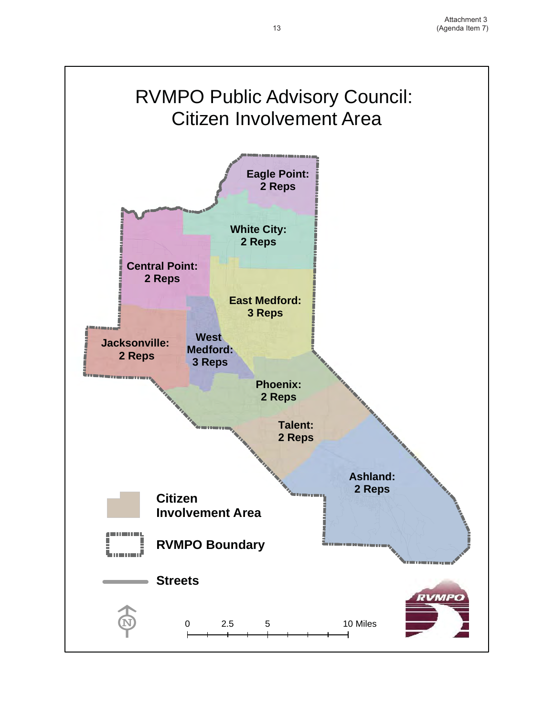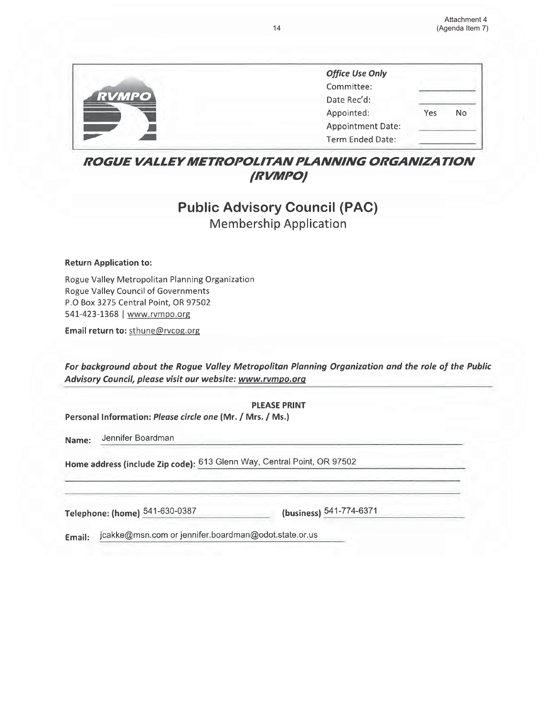|              | <b>Office Use Only</b>   |     |    |
|--------------|--------------------------|-----|----|
|              | Committee:               |     |    |
| <b>RVMPO</b> | Date Rec'd:              |     |    |
|              | Appointed:               | Yes | No |
|              | <b>Appointment Date:</b> |     |    |
|              | Term Ended Date:         |     |    |

### **ROGUE VALLEY METROPOLITAN PLANNING ORGANIZATION** *(RVMPO)*

### **Public Advisory Council (PAC) Membership Application**

#### **Return Application to:**

Rogue Valley Metropolitan Planning Organization **Rogue Valley Council of Governments** P.O Box 3275 Central Point, OR 97502 541-423-1368 | www.rvmpo.org

Email return to: sthune@rvcog.org

For background about the Rogue Valley Metropolitan Planning Organization and the role of the Public Advisory Council, please visit our website: www.rvmpo.org

**PLEASE PRINT** Personal Information: Please circle one (Mr. / Mrs. / Ms.) Jennifer Boardman Name: Home address (include Zip code): 613 Glenn Way, Central Point, OR 97502 (business) 541-774-6371 Telephone: (home) 541-630-0387

jcakke@msn.com or jennifer.boardman@odot.state.or.us Email: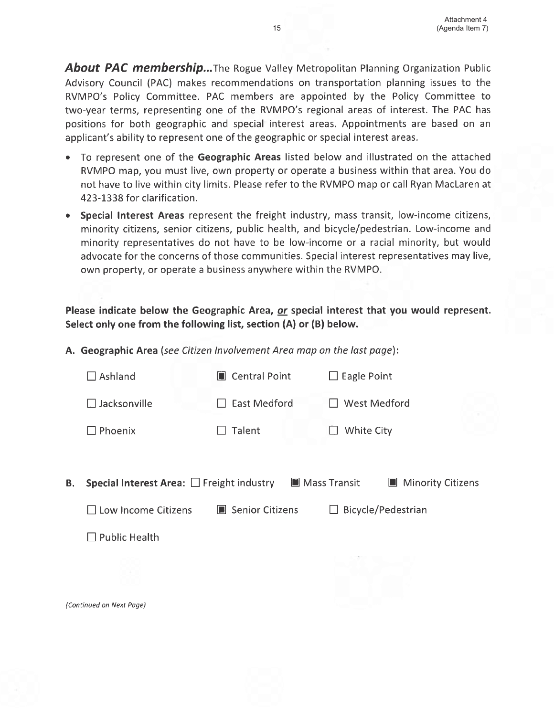**About PAC membership...**The Rogue Valley Metropolitan Planning Organization Public Advisory Council (PAC) makes recommendations on transportation planning issues to the RVMPO's Policy Committee. PAC members are appointed by the Policy Committee to two-year terms, representing one of the RVMPO's regional areas of interest. The PAC has positions for both geographic and special interest areas. Appointments are based on an applicant's ability to represent one of the geographic or special interest areas.

- To represent one of the Geographic Areas listed below and illustrated on the attached RVMPO map, you must live, own property or operate a business within that area. You do not have to live within city limits. Please refer to the RVMPO map or call Ryan MacLaren at 423-1338 for clarification.
- Special Interest Areas represent the freight industry, mass transit, low-income citizens, minority citizens, senior citizens, public health, and bicycle/pedestrian. Low-income and minority representatives do not have to be low-income or a racial minority, but would advocate for the concerns of those communities. Special interest representatives may live, own property, or operate a business anywhere within the RVMPO.

### Please indicate below the Geographic Area, or special interest that you would represent. Select only one from the following list, section (A) or (B) below.

A. Geographic Area (see Citizen Involvement Area map on the last page):

|    | Ashland                                               | Central Point       | $\Box$ Eagle Point                 |  |
|----|-------------------------------------------------------|---------------------|------------------------------------|--|
|    | $\Box$ Jacksonville                                   | <b>East Medford</b> | <b>West Medford</b>                |  |
|    | Phoenix                                               | <b>Talent</b>       | White City                         |  |
|    |                                                       |                     |                                    |  |
| В. | <b>Special Interest Area:</b> $\Box$ Freight industry | ■ Mass Transit      | <b>Minority Citizens</b><br>$\Box$ |  |
|    | $\Box$ Low Income Citizens                            | ■ Senior Citizens   | Bicycle/Pedestrian<br>$\perp$      |  |
|    | $\Box$ Public Health                                  |                     |                                    |  |
|    |                                                       |                     |                                    |  |
|    | (Continued on Next Page)                              |                     |                                    |  |